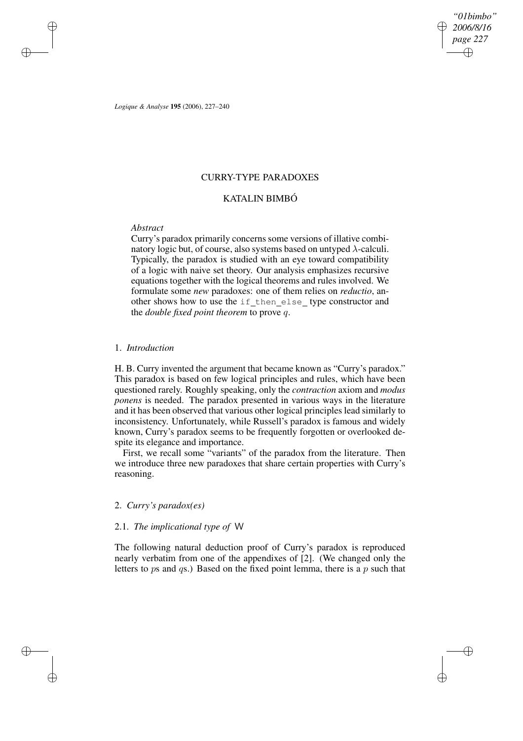*"01bimbo" 2006/8/16 page 227* ✐ ✐

✐

✐

*Logique & Analyse* **195** (2006), 227–240

## CURRY-TYPE PARADOXES

# KATALIN BIMBÓ

# *Abstract*

✐

✐

✐

✐

Curry's paradox primarily concerns some versions of illative combinatory logic but, of course, also systems based on untyped  $\lambda$ -calculi. Typically, the paradox is studied with an eye toward compatibility of a logic with naive set theory. Our analysis emphasizes recursive equations together with the logical theorems and rules involved. We formulate some *new* paradoxes: one of them relies on *reductio*, another shows how to use the if\_then\_else\_type constructor and the *double fixed point theorem* to prove q.

#### 1. *Introduction*

H. B. Curry invented the argument that became known as "Curry's paradox." This paradox is based on few logical principles and rules, which have been questioned rarely. Roughly speaking, only the *contraction* axiom and *modus ponens* is needed. The paradox presented in various ways in the literature and it has been observed that various other logical principles lead similarly to inconsistency. Unfortunately, while Russell's paradox is famous and widely known, Curry's paradox seems to be frequently forgotten or overlooked despite its elegance and importance.

First, we recall some "variants" of the paradox from the literature. Then we introduce three new paradoxes that share certain properties with Curry's reasoning.

# 2. *Curry's paradox(es)*

## 2.1. *The implicational type of* W

The following natural deduction proof of Curry's paradox is reproduced nearly verbatim from one of the appendixes of [2]. (We changed only the letters to ps and  $q_s$ .) Based on the fixed point lemma, there is a p such that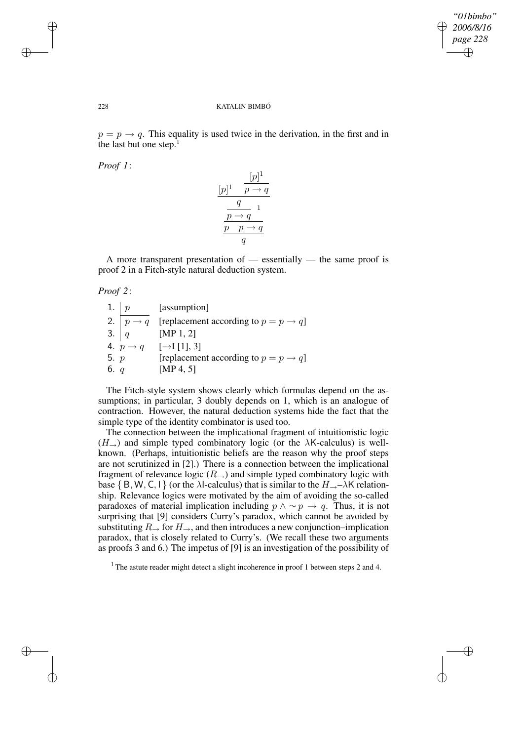✐

✐

#### 228 KATALIN BIMBÓ

 $p = p \rightarrow q$ . This equality is used twice in the derivation, in the first and in the last but one step. $<sup>1</sup>$ </sup>

*Proof 1*:

$$
\frac{[p]^1 \qquad p \to q}{q \qquad 1}
$$
\n
$$
\frac{q}{p \to q \qquad 1}
$$
\n
$$
\frac{p \to q}{p \qquad p \to q}
$$
\n
$$
q
$$

A more transparent presentation of — essentially — the same proof is proof 2 in a Fitch-style natural deduction system.

#### *Proof 2*:

|        | 1. $p$ [assumption]                                                                        |
|--------|--------------------------------------------------------------------------------------------|
|        |                                                                                            |
|        | 2. $p \rightarrow q$ [replacement according to $p = p \rightarrow q$ ]<br>3. $q$ [MP 1, 2] |
|        | 4. $p \to q$ [ $\to$ [1], 3]                                                               |
| 5. $p$ | [replacement according to $p = p \rightarrow q$ ]                                          |
| 6. $q$ | [MP 4, 5]                                                                                  |

The Fitch-style system shows clearly which formulas depend on the assumptions; in particular, 3 doubly depends on 1, which is an analogue of contraction. However, the natural deduction systems hide the fact that the simple type of the identity combinator is used too.

The connection between the implicational fragment of intuitionistic logic  $(H_{\rightarrow})$  and simple typed combinatory logic (or the  $\lambda$ K-calculus) is wellknown. (Perhaps, intuitionistic beliefs are the reason why the proof steps are not scrutinized in [2].) There is a connection between the implicational fragment of relevance logic  $(R_{\rightarrow})$  and simple typed combinatory logic with base  $\{B, W, C, I\}$  (or the  $\lambda$ I-calculus) that is similar to the  $H_{\rightarrow}$ – $\lambda$ K relationship. Relevance logics were motivated by the aim of avoiding the so-called paradoxes of material implication including  $p \wedge \sim p \rightarrow q$ . Thus, it is not surprising that [9] considers Curry's paradox, which cannot be avoided by substituting  $R_{\rightarrow}$  for  $H_{\rightarrow}$ , and then introduces a new conjunction–implication paradox, that is closely related to Curry's. (We recall these two arguments as proofs 3 and 6.) The impetus of [9] is an investigation of the possibility of

<sup>1</sup> The astute reader might detect a slight incoherence in proof 1 between steps 2 and 4.

✐

✐

✐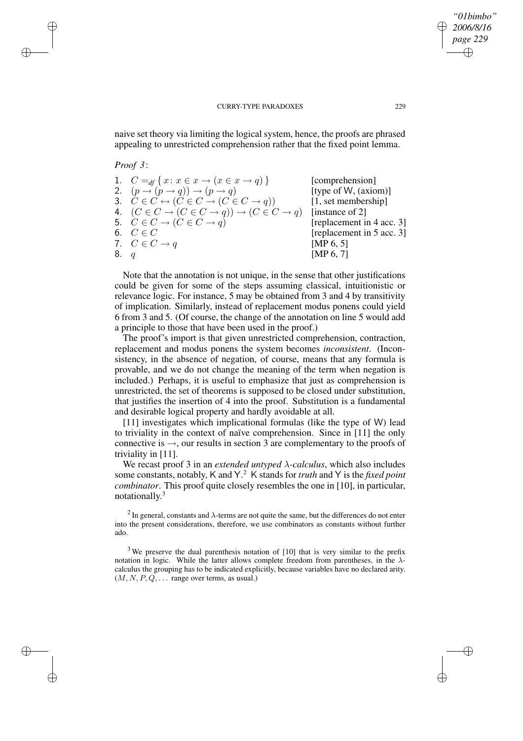naive set theory via limiting the logical system, hence, the proofs are phrased appealing to unrestricted comprehension rather that the fixed point lemma.

#### *Proof 3*:

✐

✐

✐

✐

|      | 1. $C =_{df} \{x : x \in x \rightarrow (x \in x \rightarrow q)\}\$                     | [comprehension]           |
|------|----------------------------------------------------------------------------------------|---------------------------|
|      | 2. $(p \rightarrow (p \rightarrow q)) \rightarrow (p \rightarrow q)$                   | [type of W, (axiom)]      |
|      | 3. $C \in C \leftrightarrow (C \in C \rightarrow (C \in C \rightarrow q))$             | [1, set membership]       |
|      | 4. $(C \in C \rightarrow (C \in C \rightarrow q)) \rightarrow (C \in C \rightarrow q)$ | [instance of 2]           |
|      | 5. $C \in C \rightarrow (C \in C \rightarrow q)$                                       | [replacement in 4 acc. 3] |
|      | 6. $C \in C$                                                                           | [replacement in 5 acc. 3] |
|      | 7. $C \in C \rightarrow q$                                                             | [MP $6, 5$ ]              |
| 8. q |                                                                                        | [MP $6, 7$ ]              |

Note that the annotation is not unique, in the sense that other justifications could be given for some of the steps assuming classical, intuitionistic or relevance logic. For instance, 5 may be obtained from 3 and 4 by transitivity of implication. Similarly, instead of replacement modus ponens could yield 6 from 3 and 5. (Of course, the change of the annotation on line 5 would add a principle to those that have been used in the proof.)

The proof's import is that given unrestricted comprehension, contraction, replacement and modus ponens the system becomes *inconsistent*. (Inconsistency, in the absence of negation, of course, means that any formula is provable, and we do not change the meaning of the term when negation is included.) Perhaps, it is useful to emphasize that just as comprehension is unrestricted, the set of theorems is supposed to be closed under substitution, that justifies the insertion of 4 into the proof. Substitution is a fundamental and desirable logical property and hardly avoidable at all.

[11] investigates which implicational formulas (like the type of W) lead to triviality in the context of naïve comprehension. Since in [11] the only connective is  $\rightarrow$ , our results in section 3 are complementary to the proofs of triviality in [11].

We recast proof 3 in an *extended untyped* λ*-calculus*, which also includes some constants, notably, K and Y. <sup>2</sup> K stands for *truth* and Y is the *fixed point combinator*. This proof quite closely resembles the one in [10], in particular, notationally.<sup>3</sup>

<sup>2</sup> In general, constants and  $\lambda$ -terms are not quite the same, but the differences do not enter into the present considerations, therefore, we use combinators as constants without further ado.

 $3$  We preserve the dual parenthesis notation of [10] that is very similar to the prefix notation in logic. While the latter allows complete freedom from parentheses, in the  $\lambda$ calculus the grouping has to be indicated explicitly, because variables have no declared arity.  $(M, N, P, Q, \ldots)$  range over terms, as usual.)

*"01bimbo" 2006/8/16 page 229*

✐

✐

✐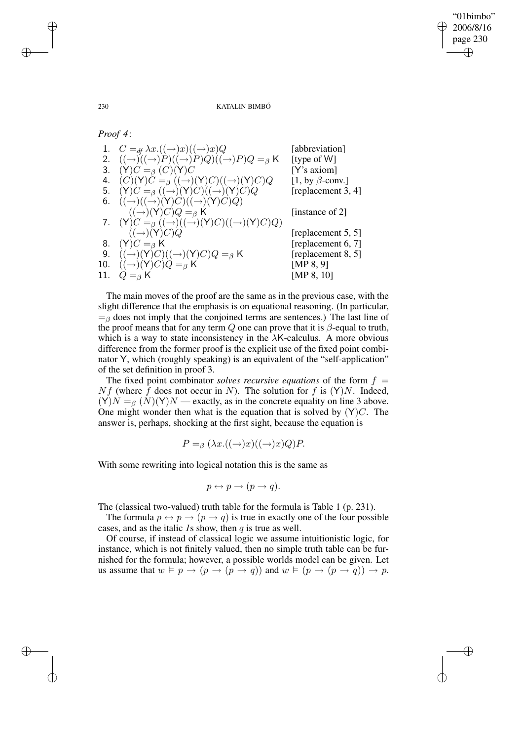✐

✐

230 KATALIN BIMBÓ

*Proof 4*:

| 1. $C =_{df} \lambda x. ((\rightarrow) x)((\rightarrow) x)Q$                                    | [abbreviation]         |
|-------------------------------------------------------------------------------------------------|------------------------|
| 2. $((\rightarrow)((\rightarrow)(\rightarrow)P)((\rightarrow)P)Q)((\rightarrow)P)Q =_{\beta} K$ | [type of W]            |
| 3. $(Y)C =_{\beta} (C)(Y)C$                                                                     | $[Y$ 's axiom]         |
| 4. $(C)(Y)C =_{\beta} ((\rightarrow)(Y)C)((\rightarrow)(Y)C)Q$                                  | [1, by $\beta$ -conv.] |
| 5. $(Y)C =_{\beta} ((\rightarrow)(Y)C)((\rightarrow)(Y)C)Q$                                     | [replacement 3, 4]     |
| 6. $((\rightarrow)((\rightarrow)(Y)C)((\rightarrow)(Y)C)Q)$                                     |                        |
| $((\rightarrow)(Y)C)Q =_{\beta} K$                                                              | [instance of 2]        |
| 7. $(Y)C =_{\beta} ((\rightarrow)((\rightarrow)(Y)C)((\rightarrow)(Y)C)Q)$                      |                        |
| $((\rightarrow)(Y)C)Q$                                                                          | [replacement 5, 5]     |
| 8. $(Y)C = \beta K$                                                                             | [replacement 6, 7]     |
| 9. $((\rightarrow)(Y)C)((\rightarrow)(Y)C)Q =_{\beta} K$                                        | [replacement 8, 5]     |
| 10. $((\rightarrow)(Y)C)Q =_{\beta} K$                                                          | [MP $8, 9$ ]           |
| 11. $Q =_{\beta} K$                                                                             | [MP 8, 10]             |
|                                                                                                 |                        |

The main moves of the proof are the same as in the previous case, with the slight difference that the emphasis is on equational reasoning. (In particular,  $=$ <sub>β</sub> does not imply that the conjoined terms are sentences.) The last line of the proof means that for any term  $Q$  one can prove that it is  $\beta$ -equal to truth, which is a way to state inconsistency in the  $\lambda$ K-calculus. A more obvious difference from the former proof is the explicit use of the fixed point combinator Y, which (roughly speaking) is an equivalent of the "self-application" of the set definition in proof 3.

The fixed point combinator *solves recursive equations* of the form  $f =$  $Nf$  (where f does not occur in N). The solution for f is  $(Y)N$ . Indeed,  $(Y)N = B(N)(Y)N$  — exactly, as in the concrete equality on line 3 above. One might wonder then what is the equation that is solved by  $(Y)C$ . The answer is, perhaps, shocking at the first sight, because the equation is

$$
P =_{\beta} (\lambda x. ((\rightarrow) x)((\rightarrow) x) Q) P.
$$

With some rewriting into logical notation this is the same as

$$
p \leftrightarrow p \to (p \to q).
$$

The (classical two-valued) truth table for the formula is Table 1 (p. 231).

The formula  $p \leftrightarrow p \rightarrow (p \rightarrow q)$  is true in exactly one of the four possible cases, and as the italic *1*s show, then q is true as well.

Of course, if instead of classical logic we assume intuitionistic logic, for instance, which is not finitely valued, then no simple truth table can be furnished for the formula; however, a possible worlds model can be given. Let us assume that  $w \vDash p \rightarrow (p \rightarrow (p \rightarrow q))$  and  $w \vDash (p \rightarrow (p \rightarrow q)) \rightarrow p$ .

✐

✐

✐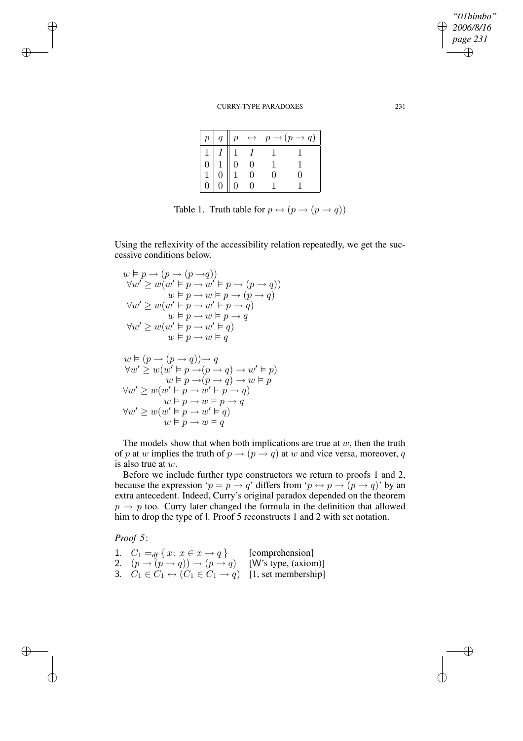| p              |                                                                                                                      |          | $q \parallel p \leftrightarrow p \rightarrow (p \rightarrow q)$ |
|----------------|----------------------------------------------------------------------------------------------------------------------|----------|-----------------------------------------------------------------|
| $\overline{1}$ |                                                                                                                      |          |                                                                 |
|                | $\begin{bmatrix} 1 & 1 \\ 0 & 1 \\ 1 & 0 \\ 0 & 0 \end{bmatrix} \begin{bmatrix} 1 \\ 0 \\ 1 \\ 0 \\ 0 \end{bmatrix}$ |          |                                                                 |
|                |                                                                                                                      |          |                                                                 |
|                |                                                                                                                      | $\Omega$ |                                                                 |

Table 1. Truth table for  $p \leftrightarrow (p \rightarrow (p \rightarrow q))$ 

Using the reflexivity of the accessibility relation repeatedly, we get the successive conditions below.

$$
w \vDash p \rightarrow (p \rightarrow (p \rightarrow q))
$$
  
\n
$$
\forall w' \geq w(w' \vDash p \rightarrow w' \vDash p \rightarrow (p \rightarrow q))
$$
  
\n
$$
w \vDash p \rightarrow w \vDash p \rightarrow (p \rightarrow q)
$$
  
\n
$$
\forall w' \geq w(w' \vDash p \rightarrow w' \vDash p \rightarrow q)
$$
  
\n
$$
w \vDash p \rightarrow w \vDash p \rightarrow q
$$
  
\n
$$
\forall w' \geq w(w' \vDash p \rightarrow w' \vDash q)
$$
  
\n
$$
w \vDash p \rightarrow w \vDash q
$$
  
\n
$$
w \vDash (p \rightarrow (p \rightarrow q)) \rightarrow q
$$
  
\n
$$
\forall w' \geq w(w' \vDash p \rightarrow (p \rightarrow q) \rightarrow w' \vDash p)
$$
  
\n
$$
\forall w' \geq w(w' \vDash p \rightarrow w' \vDash p \rightarrow q)
$$
  
\n
$$
\forall w' \geq w(w' \vDash p \rightarrow w' \vDash p \rightarrow q)
$$
  
\n
$$
\forall w' \geq w(w' \vDash p \rightarrow w' \vDash q)
$$
  
\n
$$
w \vDash p \rightarrow w \vDash q
$$

The models show that when both implications are true at  $w$ , then the truth of p at w implies the truth of  $p \rightarrow (p \rightarrow q)$  at w and vice versa, moreover, q is also true at w.

Before we include further type constructors we return to proofs 1 and 2, because the expression ' $p = p \rightarrow q$ ' differs from ' $p \leftrightarrow p \rightarrow (p \rightarrow q)$ ' by an extra antecedent. Indeed, Curry's original paradox depended on the theorem  $p \rightarrow p$  too. Curry later changed the formula in the definition that allowed him to drop the type of l. Proof 5 reconstructs 1 and 2 with set notation.

*Proof 5*:

✐

✐

✐

✐

| 1. $C_1 =_{df} \{x : x \in x \rightarrow q\}$                                    | [comprehension]     |
|----------------------------------------------------------------------------------|---------------------|
| 2. $(p \rightarrow (p \rightarrow q)) \rightarrow (p \rightarrow q)$             | [W's type, (axiom)] |
| 3. $C_1 \in C_1 \leftrightarrow (C_1 \in C_1 \rightarrow q)$ [1, set membership] |                     |

*2006/8/16 page 231* ✐ ✐

 $\bigoplus$ 

✐

*"01bimbo"*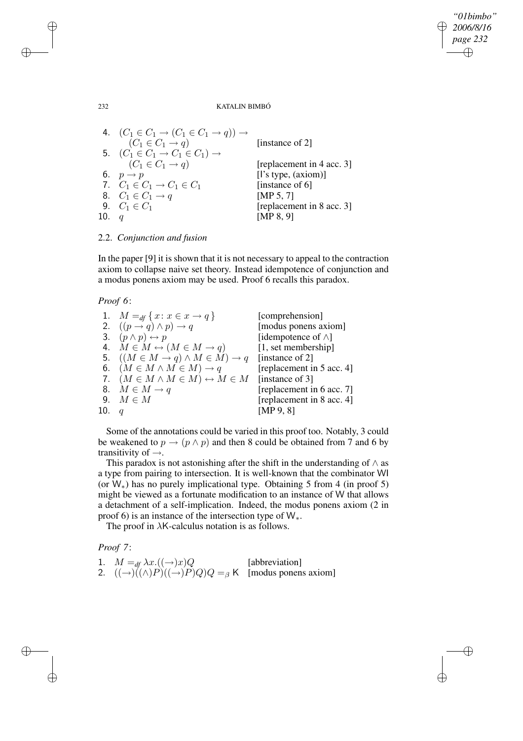*"01bimbo" 2006/8/16* ✐ *page 232* ✐

 $\bigoplus$ 

✐

232 KATALIN BIMBÓ

4. 
$$
(C_1 \in C_1 \rightarrow (C_1 \in C_1 \rightarrow q)) \rightarrow (C_1 \in C_1 \rightarrow q)
$$
 [instance of 2]  
\n5. 
$$
(C_1 \in C_1 \rightarrow C_1 \in C_1) \rightarrow (C_1 \in C_1 \rightarrow q)
$$
 [instance of 2]  
\n6. 
$$
p \rightarrow p
$$
 [replacement in 4 acc. 3]  
\n7. 
$$
C_1 \in C_1 \rightarrow C_1 \in C_1
$$
 [instance of 6]  
\n8. 
$$
C_1 \in C_1 \rightarrow q
$$
 [MP 5, 7]  
\n9. 
$$
C_1 \in C_1
$$
 [replacement in 8 acc. 3]  
\n10. 
$$
q
$$
 [MP 8, 9]

2.2. *Conjunction and fusion*

In the paper [9] it is shown that it is not necessary to appeal to the contraction axiom to collapse naive set theory. Instead idempotence of conjunction and a modus ponens axiom may be used. Proof 6 recalls this paradox.

*Proof 6*:

|         | 1. $M =_{df} \{x : x \in x \rightarrow q\}$                           | [comprehension]            |
|---------|-----------------------------------------------------------------------|----------------------------|
|         | 2. $((p \rightarrow q) \land p) \rightarrow q$                        | [modus ponens axiom]       |
|         | 3. $(p \wedge p) \leftrightarrow p$                                   | [idempotence of $\wedge$ ] |
|         | 4. $M \in M \leftrightarrow (M \in M \rightarrow q)$                  | [1, set membership]        |
|         | 5. $((M \in M \rightarrow q) \land M \in M) \rightarrow q$            | [instance of 2]            |
|         | 6. $(M \in M \wedge M \in M) \rightarrow q$                           | [replacement in 5 acc. 4]  |
|         | 7. $(M \in M \wedge M \in M) \leftrightarrow M \in M$ [instance of 3] |                            |
|         | 8. $M \in M \rightarrow q$                                            | [replacement in 6 acc. 7]  |
|         | 9. $M \in M$                                                          | [replacement in 8 acc. 4]  |
| 10. $q$ |                                                                       | [MP 9, 8]                  |
|         |                                                                       |                            |

Some of the annotations could be varied in this proof too. Notably, 3 could be weakened to  $p \rightarrow (p \land p)$  and then 8 could be obtained from 7 and 6 by transitivity of  $\rightarrow$ .

This paradox is not astonishing after the shift in the understanding of  $\wedge$  as a type from pairing to intersection. It is well-known that the combinator WI (or W∗) has no purely implicational type. Obtaining 5 from 4 (in proof 5) might be viewed as a fortunate modification to an instance of W that allows a detachment of a self-implication. Indeed, the modus ponens axiom (2 in proof 6) is an instance of the intersection type of  $W_*$ .

The proof in  $\lambda$ K-calculus notation is as follows.

*Proof 7*:

✐

✐

| 1. $M =_{df} \lambda x. ((\rightarrow) x) Q$                                    | [abbreviation] |
|---------------------------------------------------------------------------------|----------------|
| 2. $((\rightarrow)((\land)P)((\rightarrow)P)Q)Q = \beta K$ [modus ponens axiom] |                |

✐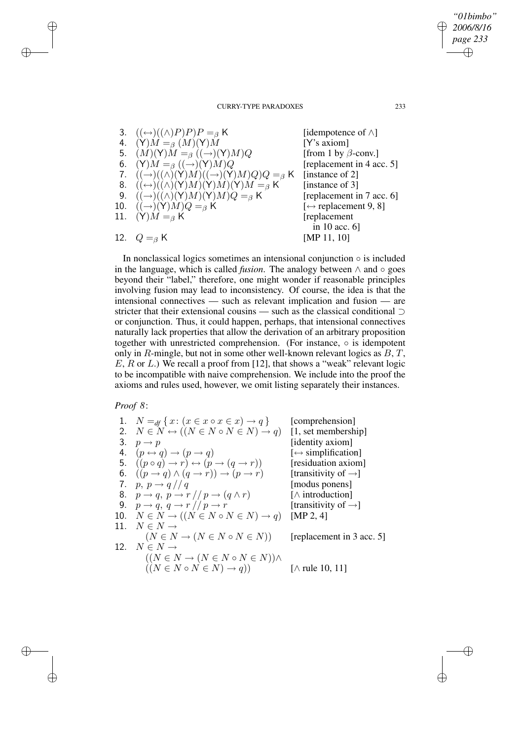3.  $((\leftrightarrow)((\land)P)P)P = \beta K$  [idempotence of  $\land$ ] 4.  $(\Upsilon)M =_{\beta} (M)(\Upsilon)M$  [Y's axiom]<br>
5.  $(M)(\Upsilon)M =_{\beta} ((\rightarrow)(\Upsilon)M)Q$  [from 1 by  $\beta$ -conv.] 5.  $(M)(Y)M =_{\beta} ((\rightarrow)(Y)M)Q$  [from 1 by  $\beta$ -conv.]<br>6.  $(Y)M =_{\beta} ((\rightarrow)(Y)M)Q$  [replacement in 4 acc. 5] 6. (Y) $M =_\beta ((\rightarrow) (Y)M)Q$ 7.  $((\rightarrow)((\land)(Y)M)((\rightarrow)(Y)M)Q)Q = \beta K$  [instance of 2] 8.  $((\leftrightarrow)((\land)(Y)M)(Y)M) =_{\beta} K$  [instance of 3] 9.  $((\rightarrow)((\land)(Y)M)(Y)M)Q = \beta K$  [replacement in 7 acc. 6]<br>0.  $((\rightarrow)(Y)M)Q = \beta K$  [ $\leftrightarrow$  replacement 9, 8] 10.  $((\rightarrow)(Y)M)Q = \beta K$ <br>11.  $(Y)M = \beta K$  $(Y)M = g K$  [replacement] in 10 acc. 6] 12.  $Q = B$  K [MP 11, 10]

In nonclassical logics sometimes an intensional conjunction  $\circ$  is included in the language, which is called *fusion*. The analogy between ∧ and ◦ goes beyond their "label," therefore, one might wonder if reasonable principles involving fusion may lead to inconsistency. Of course, the idea is that the intensional connectives — such as relevant implication and fusion — are stricter that their extensional cousins — such as the classical conditional ⊃ or conjunction. Thus, it could happen, perhaps, that intensional connectives naturally lack properties that allow the derivation of an arbitrary proposition together with unrestricted comprehension. (For instance,  $\circ$  is idempotent only in R-mingle, but not in some other well-known relevant logics as  $B, T$ ,  $E, R$  or  $L$ .) We recall a proof from [12], that shows a "weak" relevant logic to be incompatible with naive comprehension. We include into the proof the axioms and rules used, however, we omit listing separately their instances.

# *Proof 8*:

✐

✐

✐

✐

1. 
$$
N =_{df} \{x : (x \in x \circ x \in x) \rightarrow q\}
$$
 [comprehension]  
\n2.  $N \in N \leftrightarrow ((N \in N \circ N \in N) \rightarrow q)$  [1, set membership]  
\n3.  $p \rightarrow p$  [identity axiom]  
\n4.  $(p \leftrightarrow q) \rightarrow (p \rightarrow q)$  [ $\leftrightarrow$  simplification]  
\n5.  $((p \circ q) \rightarrow r) \leftrightarrow (p \rightarrow (q \rightarrow r))$  [residuation axiom]  
\n6.  $((p \rightarrow q) \land (q \rightarrow r)) \rightarrow (p \rightarrow r)$  [transition]

*"01bimbo" 2006/8/16 page 233*

✐

✐

✐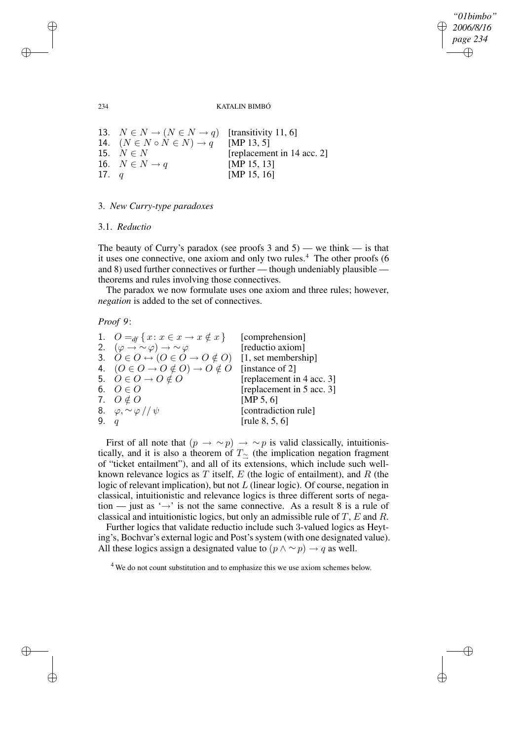✐

✐

#### 234 KATALIN BIMBÓ

13.  $N \in N \rightarrow (N \in N \rightarrow q)$  [transitivity 11, 6] 14.  $(N \in N \circ N \in N) \to q^{n}$  [MP 13, 5] 15.  $N \in N$  [replacement in 14 acc. 2] 16.  $N \in N \to q$  [MP 15, 13] 17.  $q$  [MP 15, 16]

# 3. *New Curry-type paradoxes*

## 3.1. *Reductio*

The beauty of Curry's paradox (see proofs 3 and 5) — we think — is that it uses one connective, one axiom and only two rules.<sup>4</sup> The other proofs (6 and 8) used further connectives or further — though undeniably plausible theorems and rules involving those connectives.

The paradox we now formulate uses one axiom and three rules; however, *negation* is added to the set of connectives.

### *Proof 9*:

|        | 1. $O =_{df} \{x : x \in x \to x \notin x\}$                     | [comprehension]           |
|--------|------------------------------------------------------------------|---------------------------|
|        | 2. $(\varphi \rightarrow \sim \varphi) \rightarrow \sim \varphi$ | [reductio axiom]          |
|        | 3. $O \in O \leftrightarrow (O \in O \rightarrow O \notin O)$    | [1, set membership]       |
|        | 4. $(O \in O \rightarrow O \notin O) \rightarrow O \notin O$     | [instance of 2]           |
|        | 5. $O \in O \rightarrow O \notin O$                              | [replacement in 4 acc. 3] |
|        | 6. $O \in O$                                                     | [replacement in 5 acc. 3] |
|        | 7. $O \notin O$                                                  | [MP 5, 6]                 |
|        | 8. $\varphi, \sim \varphi$ // $\psi$                             | [contradiction rule]      |
| 9. $q$ |                                                                  | [rule $8, 5, 6$ ]         |

First of all note that  $(p \to \sim p) \to \sim p$  is valid classically, intuitionistically, and it is also a theorem of  $T_{\sim}$  (the implication negation fragment of "ticket entailment"), and all of its extensions, which include such wellknown relevance logics as  $T$  itself,  $E$  (the logic of entailment), and  $R$  (the logic of relevant implication), but not L (linear logic). Of course, negation in classical, intuitionistic and relevance logics is three different sorts of negation — just as ' $\rightarrow$ ' is not the same connective. As a result 8 is a rule of classical and intuitionistic logics, but only an admissible rule of T, E and R.

Further logics that validate reductio include such 3-valued logics as Heyting's, Bochvar's external logic and Post's system (with one designated value). All these logics assign a designated value to  $(p \land \sim p) \rightarrow q$  as well.

<sup>4</sup> We do not count substitution and to emphasize this we use axiom schemes below.

✐

✐

✐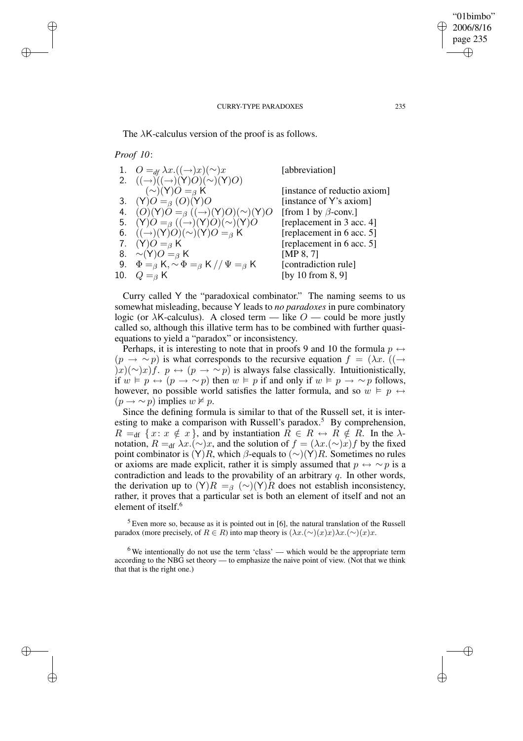The  $\lambda$ K-calculus version of the proof is as follows.

*Proof 10*:

✐

✐

✐

✐

| 1. $Q =_{df} \lambda x. ((\rightarrow) x)(\sim) x$               | [abbreviation]               |
|------------------------------------------------------------------|------------------------------|
| 2. $((\rightarrow) ((\rightarrow) (Y)O)(\sim) (Y)O)$             |                              |
| $({\sim})(Y)O =_{\beta} K$                                       | [instance of reductio axiom] |
| 3. (Y) $O =_{\beta} (O)(Y)O$                                     | [instance of Y's axiom]      |
| 4. $(O)(Y)O =_{\beta} ((\rightarrow)(Y)O)(\sim)(Y)O$             | [from 1 by $\beta$ -conv.]   |
| 5. $(Y)O =_{\beta} ((\rightarrow)(Y)O)(\sim)(Y)O$                | [replacement in 3 acc. 4]    |
| 6. $((\rightarrow)(Y)O)(\sim)(Y)O =_{\beta} K$                   | [replacement in 6 acc. 5]    |
| 7. $(Y)O = \beta K$                                              | [replacement in 6 acc. 5]    |
| 8. $\sim (Y)O = \beta K$                                         | [MP $8, 7$ ]                 |
| 9. $\Phi =_{\beta} K, \sim \Phi =_{\beta} K // \Psi =_{\beta} K$ | [contradiction rule]         |
| 10. $Q =_{\beta} K$                                              | [by 10 from $8, 9$ ]         |
|                                                                  |                              |

Curry called Y the "paradoxical combinator." The naming seems to us somewhat misleading, because Y leads to *no paradoxes* in pure combinatory logic (or  $\lambda$ K-calculus). A closed term — like  $O$  — could be more justly called so, although this illative term has to be combined with further quasiequations to yield a "paradox" or inconsistency.

Perhaps, it is interesting to note that in proofs 9 and 10 the formula  $p \leftrightarrow$  $(p \rightarrow \sim p)$  is what corresponds to the recursive equation  $f = (\lambda x. ((\rightarrow$ )x)(∼)x)f.  $p \leftrightarrow (p \rightarrow \sim p)$  is always false classically. Intuitionistically, if  $w \vDash p \leftrightarrow (p \rightarrow \sim p)$  then  $w \vDash p$  if and only if  $w \vDash p \rightarrow \sim p$  follows, however, no possible world satisfies the latter formula, and so  $w \models p \leftrightarrow$  $(p \rightarrow \sim p)$  implies  $w \not\models p$ .

Since the defining formula is similar to that of the Russell set, it is interesting to make a comparison with Russell's paradox.<sup>5</sup> By comprehension,  $R =_{df} \{x: x \notin x\}$ , and by instantiation  $R \in R \leftrightarrow R \notin R$ . In the  $\lambda$ notation,  $R =$ df  $\lambda x. (\sim)x$ , and the solution of  $f = (\lambda x. (\sim)x)f$  by the fixed point combinator is  $(Y)R$ , which  $\beta$ -equals to  $(\sim)(Y)R$ . Sometimes no rules or axioms are made explicit, rather it is simply assumed that  $p \leftrightarrow \sim p$  is a contradiction and leads to the provability of an arbitrary  $q$ . In other words, the derivation up to  $(Y)R =$ <sub>β</sub> (∼)(Y)R does not establish inconsistency, rather, it proves that a particular set is both an element of itself and not an element of itself.<sup>6</sup>

 $5$  Even more so, because as it is pointed out in [6], the natural translation of the Russell paradox (more precisely, of  $R \in R$ ) into map theory is  $(\lambda x.(\sim)(x)x)\lambda x.(\sim)(x)x$ .

 $6$  We intentionally do not use the term 'class' — which would be the appropriate term according to the NBG set theory — to emphasize the naive point of view. (Not that we think that that is the right one.)

"01bimbo" 2006/8/16 page 235

✐

✐

✐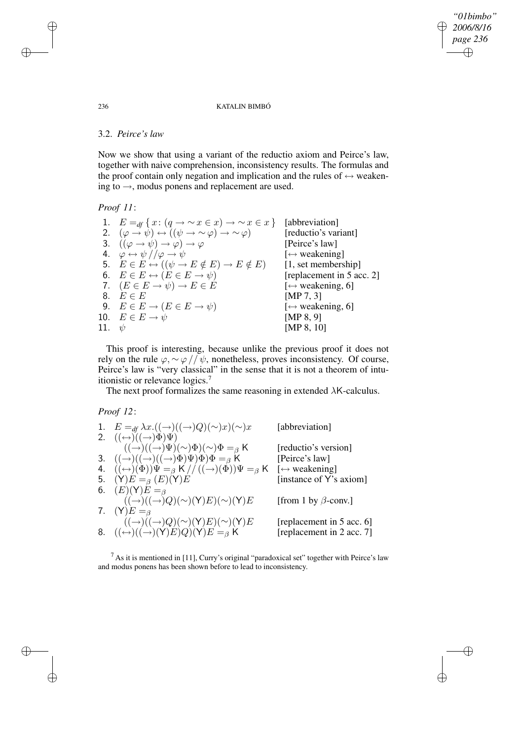*"01bimbo" 2006/8/16* ✐ *page 236* ✐

 $\bigoplus$ 

✐

#### 236 KATALIN BIMBÓ

### 3.2. *Peirce's law*

Now we show that using a variant of the reductio axiom and Peirce's law, together with naive comprehension, inconsistency results. The formulas and the proof contain only negation and implication and the rules of  $\leftrightarrow$  weakening to  $\rightarrow$ , modus ponens and replacement are used.

## *Proof 11*:

|            | 1. $E =_{df} \{x : (q \rightarrow \sim x \in x) \rightarrow \sim x \in x\}$         | [abbreviation]                       |
|------------|-------------------------------------------------------------------------------------|--------------------------------------|
|            | 2. $(\varphi \to \psi) \leftrightarrow ((\psi \to \sim \varphi) \to \sim \varphi)$  | [reductio's variant]                 |
|            | 3. $((\varphi \rightarrow \psi) \rightarrow \varphi) \rightarrow \varphi$           | [Peirce's law]                       |
|            | 4. $\varphi \leftrightarrow \psi$ // $\varphi \rightarrow \psi$                     | $\left[\leftrightarrow$ weakening]   |
|            | 5. $E \in E \leftrightarrow ((\psi \rightarrow E \notin E) \rightarrow E \notin E)$ | [1, set membership]                  |
|            | 6. $E \in E \leftrightarrow (E \in E \rightarrow \psi)$                             | [replacement in 5 acc. 2]            |
|            | 7. $(E \in E \rightarrow \psi) \rightarrow E \in E$                                 | $\left[\leftrightarrow$ weakening, 6 |
|            | 8. $E \in E$                                                                        | [MP 7, 3]                            |
|            | 9. $E \in E \rightarrow (E \in E \rightarrow \psi)$                                 | $\left[\leftrightarrow$ weakening, 6 |
|            | 10. $E \in E \rightarrow \psi$                                                      | [MP $8, 9$ ]                         |
| 11. $\psi$ |                                                                                     | [MP $8, 10$ ]                        |
|            |                                                                                     |                                      |

This proof is interesting, because unlike the previous proof it does not rely on the rule  $\varphi, \sim \varphi$  //  $\psi$ , nonetheless, proves inconsistency. Of course, Peirce's law is "very classical" in the sense that it is not a theorem of intuitionistic or relevance logics.<sup>7</sup>

The next proof formalizes the same reasoning in extended  $\lambda$ K-calculus.

*Proof 12*:

| 1. $E =_{df} \lambda x. ((\rightarrow)((\rightarrow)(Q)(\sim)x)(\sim)x)$               | [abbreviation]                     |
|----------------------------------------------------------------------------------------|------------------------------------|
| 2. $((\leftrightarrow)(\rightarrow)\Phi)\Psi)$                                         |                                    |
| $((\rightarrow)((\rightarrow)(\sim)\Psi)(\sim)\Phi)(\sim)\Phi =_{\beta} K$             | [reductio's version]               |
| 3. $((\rightarrow)((\rightarrow)((\rightarrow)(\rightarrow)\Phi)\Psi)\Phi =_{\beta} K$ | [Peirce's law]                     |
| 4. $((\leftrightarrow)(\Phi))\Psi =_{\beta} K// ((\rightarrow)(\Phi))\Psi =_{\beta} K$ | $\left[\leftrightarrow$ weakening] |
| 5. $(Y)E =_{\beta} (E)(Y)E$                                                            | [instance of Y's axiom]            |
| 6. $(E)(Y)E =_{\beta}$                                                                 |                                    |
| $((\rightarrow)((\rightarrow)Q)(\sim)(Y)E)(\sim)(Y)E$                                  | [from 1 by $\beta$ -conv.]         |
| 7. $(Y)E =_{\beta}$                                                                    |                                    |
| $((\rightarrow)((\rightarrow)Q)(\sim)(Y)E)(\sim)(Y)E$                                  | [replacement in 5 acc. 6]          |
| 8. $((\leftrightarrow)((\rightarrow)(Y)E)Q)(Y)E =_{\beta} K$                           | [replacement in 2 acc. 7]          |
|                                                                                        |                                    |

 $<sup>7</sup>$  As it is mentioned in [11], Curry's original "paradoxical set" together with Peirce's law</sup> and modus ponens has been shown before to lead to inconsistency.

✐

✐

✐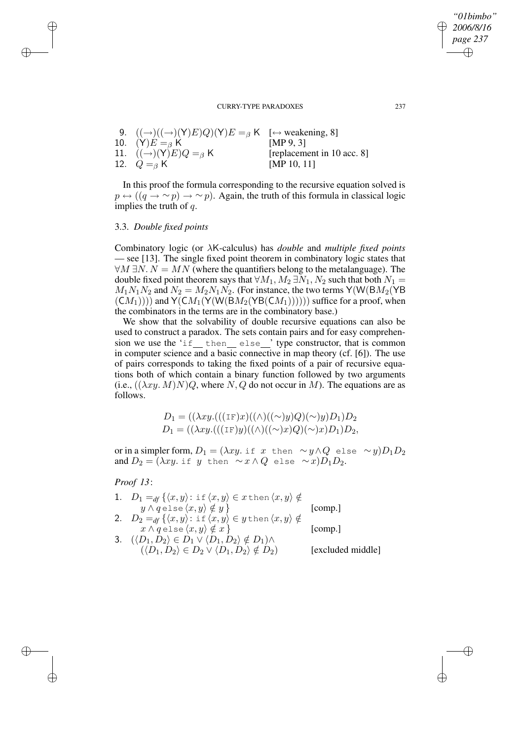| 9. $((\rightarrow)((\rightarrow)(Y)E)Q)(Y)E =_{\beta} K$ [ $\leftrightarrow$ weakening, 8] |                            |
|--------------------------------------------------------------------------------------------|----------------------------|
| 10. $(Y)E =_{\beta} K$                                                                     | [MP $9, 31$ ]              |
| 11. $((\rightarrow)(Y)E)Q =_{\beta} K$                                                     | [replacement in 10 acc. 8] |
| 12. $Q =_{\beta} K$                                                                        | [MP 10, 11]                |

In this proof the formula corresponding to the recursive equation solved is  $p \leftrightarrow ((q \rightarrow \sim p) \rightarrow \sim p)$ . Again, the truth of this formula in classical logic implies the truth of q.

## 3.3. *Double fixed points*

✐

✐

✐

✐

Combinatory logic (or λK-calculus) has *double* and *multiple fixed points* — see [13]. The single fixed point theorem in combinatory logic states that  $\forall M \exists N. N = MN$  (where the quantifiers belong to the metalanguage). The double fixed point theorem says that  $\forall M_1, M_2 \exists N_1, N_2$  such that both  $N_1 =$  $M_1N_1N_2$  and  $N_2 = M_2N_1N_2$ . (For instance, the two terms Y(W(BM<sub>2</sub>(YB)  $(CM_1))$ ) and  $Y(CM_1(Y(W(BM_2(YB(CM_1))))))$  suffice for a proof, when the combinators in the terms are in the combinatory base.)

We show that the solvability of double recursive equations can also be used to construct a paradox. The sets contain pairs and for easy comprehension we use the 'if then else' type constructor, that is common in computer science and a basic connective in map theory (cf. [6]). The use of pairs corresponds to taking the fixed points of a pair of recursive equations both of which contain a binary function followed by two arguments (i.e.,  $((\lambda xy. M)N)Q$ , where N, Q do not occur in M). The equations are as follows.

$$
D_1 = ((\lambda xy.(((1F)x)((\wedge)((\sim)y)Q)(\sim)y)D_1)D_2
$$
  

$$
D_1 = ((\lambda xy.(((1F)y)((\wedge)((\sim)x)Q)(\sim)x)D_1)D_2,
$$

or in a simpler form,  $D_1 = (\lambda xy.$  if x then  $\sim y \wedge Q$  else  $\sim y$ ) $D_1 D_2$ and  $D_2 = (\lambda xy.$  if y then  $\sim x \wedge Q$  else  $\sim x)D_1D_2$ .

*Proof 13*:

| 1. $D_1 =_{df} \{ \langle x, y \rangle : \text{if } \langle x, y \rangle \in x \text{ then } \langle x, y \rangle \notin \}$ |                   |
|------------------------------------------------------------------------------------------------------------------------------|-------------------|
| $y \wedge q$ else $\langle x, y \rangle \notin y$ }                                                                          | $\lfloor$ comp.   |
| 2. $D_2 =_{df} \{ \langle x, y \rangle : \text{if } \langle x, y \rangle \in y \text{ then } \langle x, y \rangle \notin \}$ |                   |
| $x \wedge q$ else $\langle x, y \rangle \notin x$ }                                                                          | [comp.]           |
| 3. $(\langle D_1, D_2 \rangle \in D_1 \vee \langle D_1, D_2 \rangle \notin D_1) \wedge$                                      |                   |
| $(\langle D_1, D_2 \rangle \in D_2 \vee \langle D_1, D_2 \rangle \notin D_2)$                                                | [excluded middle] |

*"01bimbo" 2006/8/16 page 237*

✐

✐

✐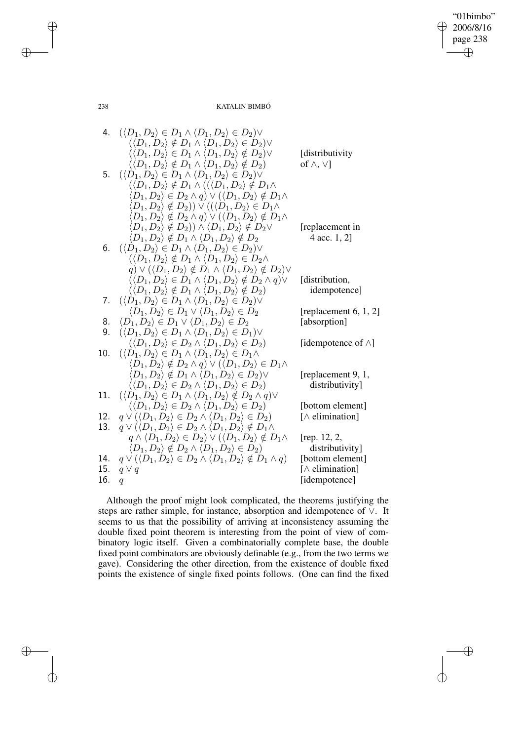$\bigoplus$ 

 $\oplus$ 

238 KATALIN BIMBÓ

✐

✐

 $\bigoplus$ 

✐

4. 
$$
(\langle D_1, D_2) \in D_1 \land \langle D_1, D_2 \rangle \in D_2) \lor
$$
  
\n $(\langle D_1, D_2) \notin D_1 \land \langle D_1, D_2 \rangle \in D_2) \lor$   
\n $(\langle D_1, D_2) \notin D_1 \land \langle D_1, D_2 \rangle \notin D_2) \lor$  [distributivity  
\n $(\langle D_1, D_2) \notin D_1 \land \langle D_1, D_2 \rangle \notin D_2)$  of  $\land, \lor$ ]  
\n5.  $(\langle D_1, D_2) \in D_1 \land \langle D_1, D_2 \rangle \notin D_2) \lor$   
\n $(\langle D_1, D_2 \rangle \notin D_1 \land \langle (D_1, D_2 \rangle \notin D_1 \land D_1 \land D_1, D_2 \rangle \notin D_1 \land D_1, D_2 \rangle \notin D_2) \lor$   
\n $(D_1, D_2) \notin D_2) \lor \langle ((D_1, D_2) \in D_1 \land D_1 \land D_2, D_2 \notin D_1 \land D_1, D_2 \rangle \notin D_2) \lor$   
\n $(D_1, D_2) \notin D_2) \land \langle D_1, D_2 \rangle \notin D_2$  [replacement in  
\n $(D_1, D_2) \notin D_1 \land \langle D_1, D_2 \rangle \notin D_2$  (replacement in  
\n $(D_1, D_2) \notin D_1 \land \langle D_1, D_2 \rangle \notin D_2 \land D_2$   
\n $(\langle D_1, D_2 \rangle \notin D_1 \land \langle D_1, D_2 \rangle \notin D_2 \land Q_2)$   
\n $(\langle D_1, D_2 \rangle \notin D_1 \land \langle D_1, D_2 \rangle \notin D_2 \land Q_2)$  [definition,  
\n $(\langle D_1, D_2 \rangle \notin D_1 \land \langle D_1, D_2 \rangle \notin D_2 \land Q_2)$  [definition  
\n7.  $(\langle D_1, D_2 \rangle \notin D_1 \land \langle D_1, D_2 \rangle \notin D_2 \land Q_2)$  [replacement 6, 1, 2]  
\n8.  $\langle D_1, D_2 \rangle$ 

Although the proof might look complicated, the theorems justifying the steps are rather simple, for instance, absorption and idempotence of ∨. It seems to us that the possibility of arriving at inconsistency assuming the double fixed point theorem is interesting from the point of view of combinatory logic itself. Given a combinatorially complete base, the double fixed point combinators are obviously definable (e.g., from the two terms we gave). Considering the other direction, from the existence of double fixed points the existence of single fixed points follows. (One can find the fixed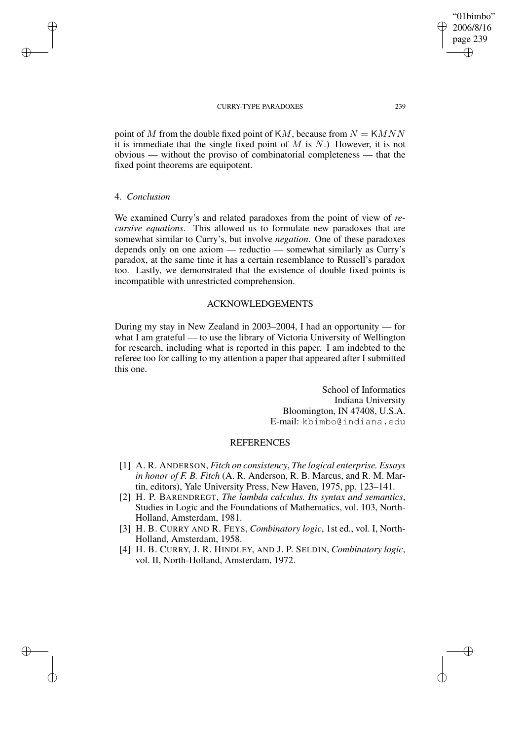point of M from the double fixed point of KM, because from  $N = KMNN$ it is immediate that the single fixed point of  $M$  is  $N$ .) However, it is not obvious — without the proviso of combinatorial completeness — that the fixed point theorems are equipotent.

### 4. *Conclusion*

✐

✐

✐

✐

We examined Curry's and related paradoxes from the point of view of *recursive equations*. This allowed us to formulate new paradoxes that are somewhat similar to Curry's, but involve *negation*. One of these paradoxes depends only on one axiom — reductio — somewhat similarly as Curry's paradox, at the same time it has a certain resemblance to Russell's paradox too. Lastly, we demonstrated that the existence of double fixed points is incompatible with unrestricted comprehension.

## ACKNOWLEDGEMENTS

During my stay in New Zealand in 2003–2004, I had an opportunity — for what I am grateful — to use the library of Victoria University of Wellington for research, including what is reported in this paper. I am indebted to the referee too for calling to my attention a paper that appeared after I submitted this one.

> School of Informatics Indiana University Bloomington, IN 47408, U.S.A. E-mail: kbimbo@indiana.edu

## **REFERENCES**

- [1] A. R. ANDERSON, *Fitch on consistency*, *The logical enterprise. Essays in honor of F. B. Fitch* (A. R. Anderson, R. B. Marcus, and R. M. Martin, editors), Yale University Press, New Haven, 1975, pp. 123–141.
- [2] H. P. BARENDREGT, *The lambda calculus. Its syntax and semantics*, Studies in Logic and the Foundations of Mathematics, vol. 103, North-Holland, Amsterdam, 1981.
- [3] H. B. CURRY AND R. FEYS, *Combinatory logic*, 1st ed., vol. I, North-Holland, Amsterdam, 1958.
- [4] H. B. CURRY, J. R. HINDLEY, AND J. P. SELDIN, *Combinatory logic*, vol. II, North-Holland, Amsterdam, 1972.

"01bimbo" 2006/8/16 page 239 ✐ ✐

✐